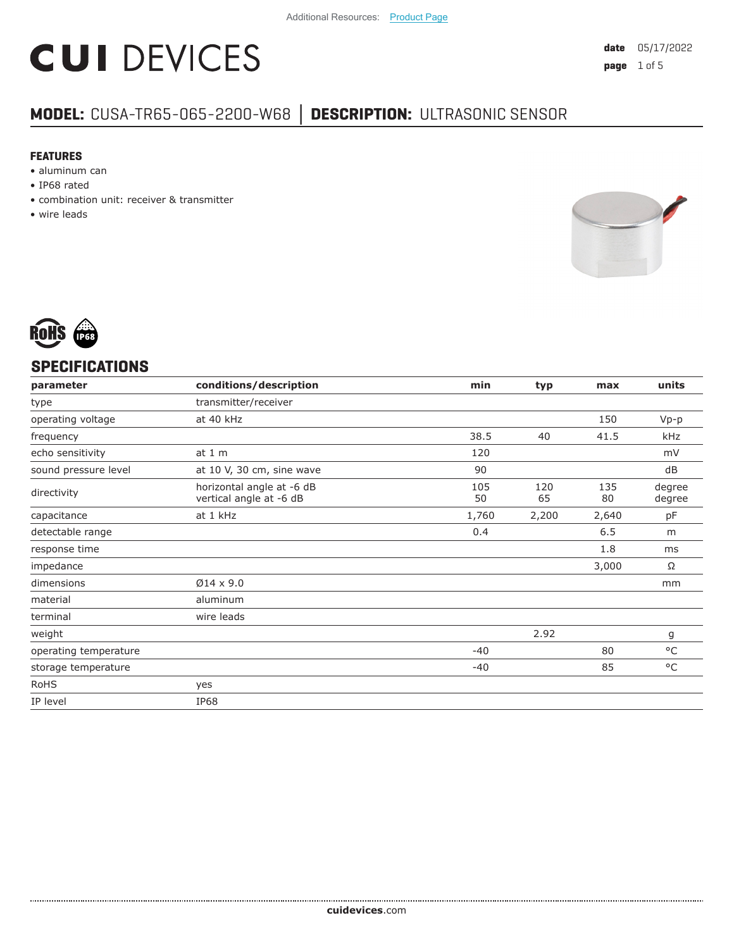# **CUI DEVICES**

### **MODEL:** CUSA-TR65-065-2200-W68 **│ DESCRIPTION:** ULTRASONIC SENSOR

#### **FEATURES**

- aluminum can
- IP68 rated
- combination unit: receiver & transmitter
- wire leads





#### **SPECIFICATIONS**

| parameter             | conditions/description                               | min       | typ       | max       | units            |
|-----------------------|------------------------------------------------------|-----------|-----------|-----------|------------------|
| type                  | transmitter/receiver                                 |           |           |           |                  |
| operating voltage     | at 40 kHz                                            |           |           | 150       | $Vp-p$           |
| frequency             |                                                      | 38.5      | 40        | 41.5      | kHz              |
| echo sensitivity      | at $1m$                                              | 120       |           |           | mV               |
| sound pressure level  | at 10 V, 30 cm, sine wave                            | 90        |           |           | dB               |
| directivity           | horizontal angle at -6 dB<br>vertical angle at -6 dB | 105<br>50 | 120<br>65 | 135<br>80 | degree<br>degree |
| capacitance           | at 1 kHz                                             | 1,760     | 2,200     | 2,640     | рF               |
| detectable range      |                                                      | 0.4       |           | 6.5       | m                |
| response time         |                                                      |           |           | 1.8       | ms               |
| impedance             |                                                      |           |           | 3,000     | Ω                |
| dimensions            | $Ø14 \times 9.0$                                     |           |           |           | mm               |
| material              | aluminum                                             |           |           |           |                  |
| terminal              | wire leads                                           |           |           |           |                  |
| weight                |                                                      |           | 2.92      |           | g                |
| operating temperature |                                                      | $-40$     |           | 80        | $^{\circ}$ C     |
| storage temperature   |                                                      | $-40$     |           | 85        | $^{\circ}$ C     |
| <b>RoHS</b>           | yes                                                  |           |           |           |                  |
| IP level              | <b>IP68</b>                                          |           |           |           |                  |
|                       |                                                      |           |           |           |                  |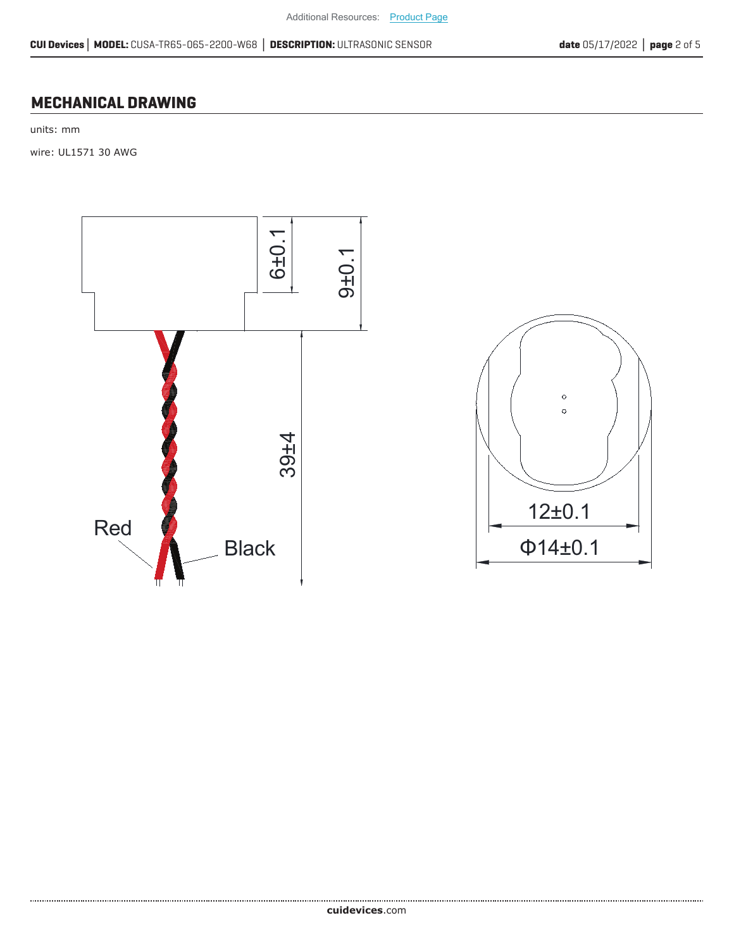#### **MECHANICAL DRAWING**

units: mm

wire: UL1571 30 AWG



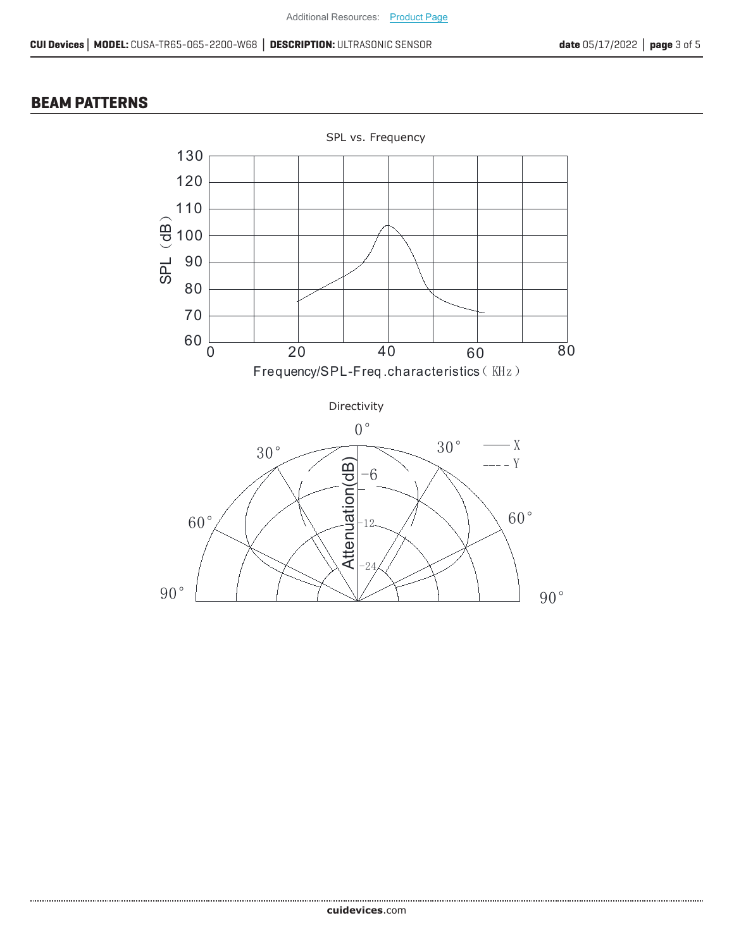#### **BEAM PATTERNS**

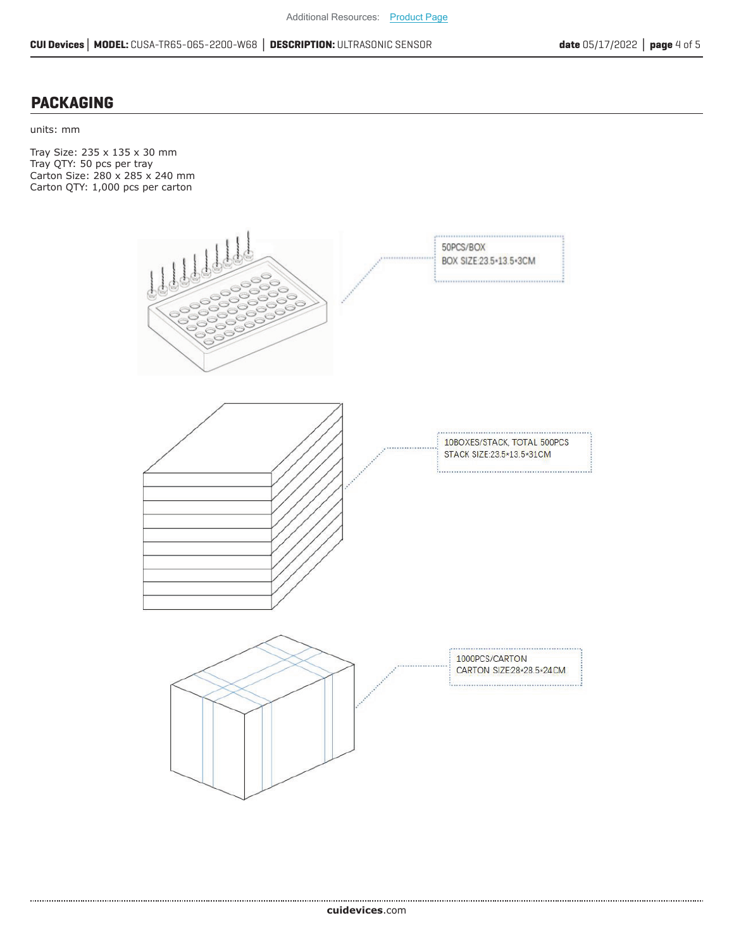#### **PACKAGING**

units: mm

Tray Size: 235 x 135 x 30 mm Tray QTY: 50 pcs per tray Carton Size: 280 x 285 x 240 mm Carton QTY: 1,000 pcs per carton